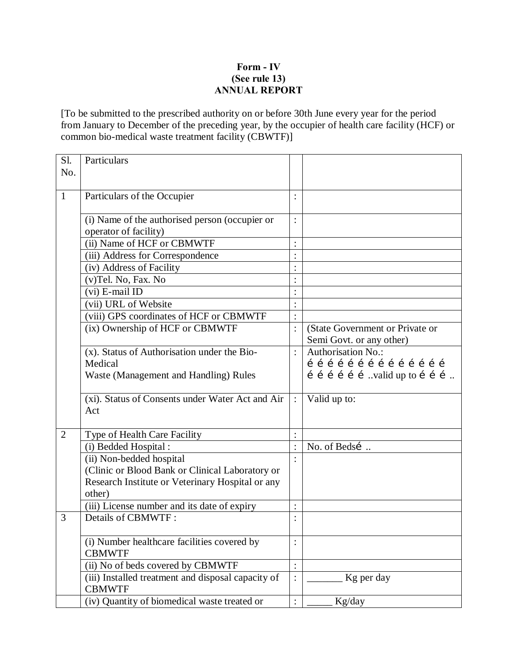## **Form - IV (See rule 13) ANNUAL REPORT**

[To be submitted to the prescribed authority on or before 30th June every year for the period from January to December of the preceding year, by the occupier of health care facility (HCF) or common bio-medical waste treatment facility (CBWTF)]

| Sl.<br>No.     | Particulars                                                         |                      |                                 |
|----------------|---------------------------------------------------------------------|----------------------|---------------------------------|
|                |                                                                     |                      |                                 |
| $\mathbf{1}$   | Particulars of the Occupier                                         | $\ddot{\cdot}$       |                                 |
|                | (i) Name of the authorised person (occupier or                      | $\ddot{\cdot}$       |                                 |
|                | operator of facility)                                               |                      |                                 |
|                | (ii) Name of HCF or CBMWTF                                          | $\vdots$             |                                 |
|                | (iii) Address for Correspondence                                    | $\vdots$             |                                 |
|                | (iv) Address of Facility                                            | $\vdots$             |                                 |
|                | (v)Tel. No, Fax. No                                                 | $\ddot{\cdot}$       |                                 |
|                | (vi) E-mail ID                                                      | $\vdots$             |                                 |
|                | (vii) URL of Website                                                | $\ddot{\phantom{0}}$ |                                 |
|                | (viii) GPS coordinates of HCF or CBMWTF                             | $\ddot{\cdot}$       |                                 |
|                | (ix) Ownership of HCF or CBMWTF                                     | $\ddot{\cdot}$       | (State Government or Private or |
|                |                                                                     |                      | Semi Govt. or any other)        |
|                | (x). Status of Authorisation under the Bio-                         | $\ddot{\cdot}$       | Authorisation No.:              |
|                | Medical                                                             |                      | 1 1 1 1 1 1 1 1 1 1 1 1 1 1     |
|                | Waste (Management and Handling) Rules                               |                      | í í í í í í valid up to í í í   |
|                | (xi). Status of Consents under Water Act and Air                    | $\ddot{\cdot}$       | Valid up to:                    |
|                | Act                                                                 |                      |                                 |
| $\overline{2}$ | Type of Health Care Facility                                        | $\ddot{\cdot}$       |                                 |
|                | (i) Bedded Hospital:                                                | $\ddot{\phantom{a}}$ | No. of Bedsí                    |
|                | (ii) Non-bedded hospital                                            | $\ddot{\cdot}$       |                                 |
|                | (Clinic or Blood Bank or Clinical Laboratory or                     |                      |                                 |
|                | Research Institute or Veterinary Hospital or any                    |                      |                                 |
|                | other)                                                              |                      |                                 |
|                | (iii) License number and its date of expiry                         | $\ddot{\cdot}$       |                                 |
| 3              | Details of CBMWTF:                                                  | $\bullet$            |                                 |
|                |                                                                     |                      |                                 |
|                | (i) Number healthcare facilities covered by<br><b>CBMWTF</b>        | $\ddot{\cdot}$       |                                 |
|                | (ii) No of beds covered by CBMWTF                                   | $\ddot{\cdot}$       |                                 |
|                | (iii) Installed treatment and disposal capacity of<br><b>CBMWTF</b> | $\vdots$             | Kg per day                      |
|                | (iv) Quantity of biomedical waste treated or                        | $\ddot{\cdot}$       | Kg/day                          |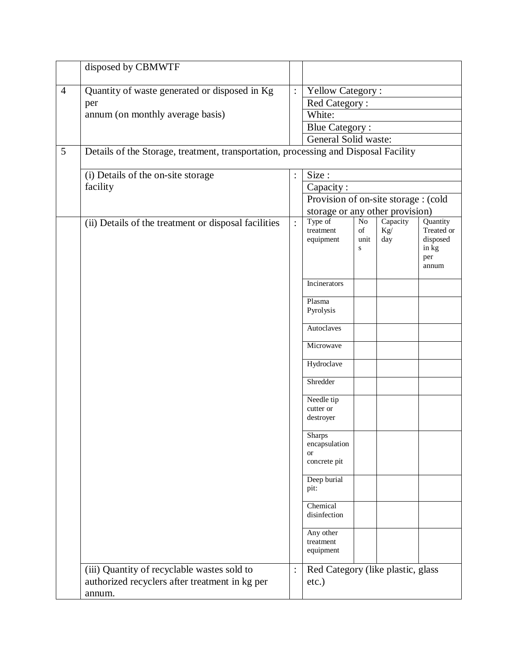|                | disposed by CBMWTF                                                                                      |                      |                                                      |                                     |                        |                                                             |  |  |  |  |  |  |  |  |  |
|----------------|---------------------------------------------------------------------------------------------------------|----------------------|------------------------------------------------------|-------------------------------------|------------------------|-------------------------------------------------------------|--|--|--|--|--|--|--|--|--|
| $\overline{4}$ | Quantity of waste generated or disposed in Kg                                                           | $\ddot{\cdot}$       |                                                      |                                     |                        |                                                             |  |  |  |  |  |  |  |  |  |
|                | per                                                                                                     |                      | <b>Yellow Category:</b><br>Red Category:             |                                     |                        |                                                             |  |  |  |  |  |  |  |  |  |
|                | annum (on monthly average basis)                                                                        |                      | White:                                               |                                     |                        |                                                             |  |  |  |  |  |  |  |  |  |
|                |                                                                                                         |                      | <b>Blue Category:</b>                                |                                     |                        |                                                             |  |  |  |  |  |  |  |  |  |
|                |                                                                                                         | General Solid waste: |                                                      |                                     |                        |                                                             |  |  |  |  |  |  |  |  |  |
| 5              | Details of the Storage, treatment, transportation, processing and Disposal Facility                     |                      |                                                      |                                     |                        |                                                             |  |  |  |  |  |  |  |  |  |
|                |                                                                                                         |                      |                                                      |                                     |                        |                                                             |  |  |  |  |  |  |  |  |  |
|                | (i) Details of the on-site storage                                                                      | $\ddot{\phantom{a}}$ | Size:                                                |                                     |                        |                                                             |  |  |  |  |  |  |  |  |  |
|                | facility                                                                                                |                      | Capacity:                                            |                                     |                        |                                                             |  |  |  |  |  |  |  |  |  |
|                |                                                                                                         |                      | Provision of on-site storage : (cold                 |                                     |                        |                                                             |  |  |  |  |  |  |  |  |  |
|                |                                                                                                         |                      | storage or any other provision)                      |                                     |                        |                                                             |  |  |  |  |  |  |  |  |  |
|                | (ii) Details of the treatment or disposal facilities                                                    | $\ddot{\cdot}$       | Type of<br>treatment<br>equipment                    | $\rm No$<br>of<br>unit<br>${\bf S}$ | Capacity<br>Kg/<br>day | Quantity<br>Treated or<br>disposed<br>in kg<br>per<br>annum |  |  |  |  |  |  |  |  |  |
|                |                                                                                                         |                      | Incinerators                                         |                                     |                        |                                                             |  |  |  |  |  |  |  |  |  |
|                |                                                                                                         |                      | Plasma<br>Pyrolysis                                  |                                     |                        |                                                             |  |  |  |  |  |  |  |  |  |
|                |                                                                                                         |                      | Autoclaves                                           |                                     |                        |                                                             |  |  |  |  |  |  |  |  |  |
|                |                                                                                                         |                      | Microwave                                            |                                     |                        |                                                             |  |  |  |  |  |  |  |  |  |
|                |                                                                                                         |                      | Hydroclave                                           |                                     |                        |                                                             |  |  |  |  |  |  |  |  |  |
|                |                                                                                                         |                      | Shredder                                             |                                     |                        |                                                             |  |  |  |  |  |  |  |  |  |
|                |                                                                                                         |                      | Needle tip                                           |                                     |                        |                                                             |  |  |  |  |  |  |  |  |  |
|                |                                                                                                         |                      | cutter or                                            |                                     |                        |                                                             |  |  |  |  |  |  |  |  |  |
|                |                                                                                                         |                      | destroyer                                            |                                     |                        |                                                             |  |  |  |  |  |  |  |  |  |
|                |                                                                                                         |                      | Sharps<br>encapsulation<br><b>or</b><br>concrete pit |                                     |                        |                                                             |  |  |  |  |  |  |  |  |  |
|                |                                                                                                         |                      | Deep burial                                          |                                     |                        |                                                             |  |  |  |  |  |  |  |  |  |
|                |                                                                                                         |                      | pit:                                                 |                                     |                        |                                                             |  |  |  |  |  |  |  |  |  |
|                |                                                                                                         |                      | Chemical<br>disinfection                             |                                     |                        |                                                             |  |  |  |  |  |  |  |  |  |
|                |                                                                                                         |                      | Any other<br>treatment<br>equipment                  |                                     |                        |                                                             |  |  |  |  |  |  |  |  |  |
|                | (iii) Quantity of recyclable wastes sold to<br>authorized recyclers after treatment in kg per<br>annum. | $\ddot{\cdot}$       | Red Category (like plastic, glass<br>$etc.$ )        |                                     |                        |                                                             |  |  |  |  |  |  |  |  |  |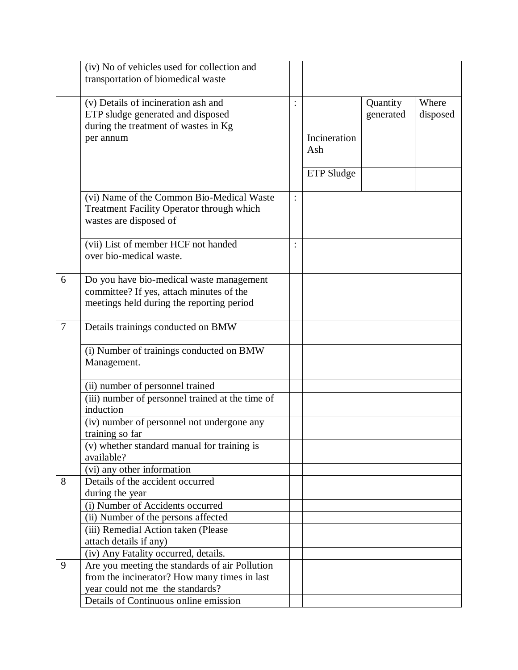|                | (iv) No of vehicles used for collection and<br>transportation of biomedical waste                                                 |                |              |                       |                   |
|----------------|-----------------------------------------------------------------------------------------------------------------------------------|----------------|--------------|-----------------------|-------------------|
|                | (v) Details of incineration ash and<br>ETP sludge generated and disposed<br>during the treatment of wastes in Kg<br>per annum     | $\ddot{\cdot}$ | Incineration | Quantity<br>generated | Where<br>disposed |
|                |                                                                                                                                   |                | Ash          |                       |                   |
|                |                                                                                                                                   |                | ETP Sludge   |                       |                   |
|                | (vi) Name of the Common Bio-Medical Waste<br>Treatment Facility Operator through which<br>wastes are disposed of                  |                |              |                       |                   |
|                | (vii) List of member HCF not handed<br>over bio-medical waste.                                                                    |                |              |                       |                   |
| 6              | Do you have bio-medical waste management<br>committee? If yes, attach minutes of the<br>meetings held during the reporting period |                |              |                       |                   |
| $\overline{7}$ | Details trainings conducted on BMW                                                                                                |                |              |                       |                   |
|                | (i) Number of trainings conducted on BMW<br>Management.                                                                           |                |              |                       |                   |
|                | (ii) number of personnel trained                                                                                                  |                |              |                       |                   |
|                | (iii) number of personnel trained at the time of<br>induction                                                                     |                |              |                       |                   |
|                | (iv) number of personnel not undergone any<br>training so far                                                                     |                |              |                       |                   |
|                | (v) whether standard manual for training is<br>available?                                                                         |                |              |                       |                   |
|                | $\overline{(vi)}$ any other information                                                                                           |                |              |                       |                   |
| 8              | Details of the accident occurred                                                                                                  |                |              |                       |                   |
|                | during the year<br>(i) Number of Accidents occurred                                                                               |                |              |                       |                   |
|                | (ii) Number of the persons affected                                                                                               |                |              |                       |                   |
|                | (iii) Remedial Action taken (Please                                                                                               |                |              |                       |                   |
|                | attach details if any)                                                                                                            |                |              |                       |                   |
|                | (iv) Any Fatality occurred, details.                                                                                              |                |              |                       |                   |
| 9              | Are you meeting the standards of air Pollution                                                                                    |                |              |                       |                   |
|                | from the incinerator? How many times in last                                                                                      |                |              |                       |                   |
|                | year could not me the standards?<br>Details of Continuous online emission                                                         |                |              |                       |                   |
|                |                                                                                                                                   |                |              |                       |                   |